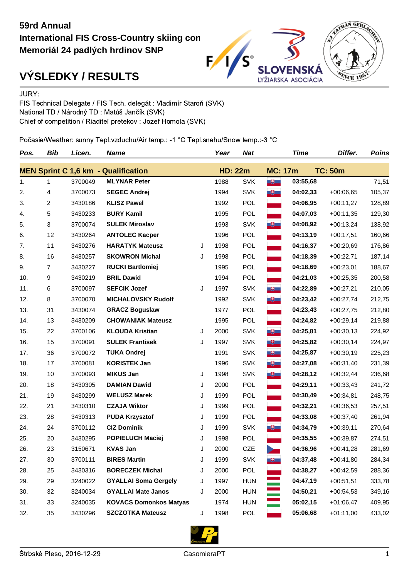## **59rd Annual International FIS Cross-Country skiing con Memoriál 24 padlých hrdinov SNP**



## **VÝSLEDKY / RESULTS**

JURY:

FIS Technical Delegate / FIS Tech. delegát : Vladimír Staroň (SVK) National TD / Národný TD : Matúš Jančík (SVK) Chief of competition / Riaditeľ pretekov : Jozef Homola (SVK)

Počasie/Weather: sunny Tepl.vzduchu/Air temp.: -1 °C Tepl.snehu/Snow temp.:-3 °C

| Pos.                                       | <b>Bib</b> | Licen.  | <b>Name</b>                   |   | Year           | <b>Nat</b> |                         | <b>Time</b> | Differ.        | <b>Poins</b> |
|--------------------------------------------|------------|---------|-------------------------------|---|----------------|------------|-------------------------|-------------|----------------|--------------|
| <b>MEN Sprint C 1,6 km - Qualification</b> |            |         |                               |   | <b>HD: 22m</b> |            | <b>MC: 17m</b>          |             | <b>TC: 50m</b> |              |
| 1.                                         | 1          | 3700049 | <b>MLYNAR Peter</b>           |   | 1988           | <b>SVK</b> | $\mathbf{H}$            | 03:55,68    |                | 71,51        |
| 2.                                         | 4          | 3700073 | <b>SEGEC Andrej</b>           |   | 1994           | <b>SVK</b> | $+$                     | 04:02,33    | $+00:06,65$    | 105,37       |
| 3.                                         | 2          | 3430186 | <b>KLISZ Pawel</b>            |   | 1992           | <b>POL</b> |                         | 04:06,95    | $+00:11,27$    | 128,89       |
| 4.                                         | 5          | 3430233 | <b>BURY Kamil</b>             |   | 1995           | <b>POL</b> |                         | 04:07,03    | $+00:11,35$    | 129,30       |
| 5.                                         | 3          | 3700074 | <b>SULEK Miroslav</b>         |   | 1993           | <b>SVK</b> | $+$                     | 04:08,92    | $+00:13,24$    | 138,92       |
| 6.                                         | 12         | 3430264 | <b>ANTOLEC Kacper</b>         |   | 1996           | POL        |                         | 04:13,19    | $+00:17,51$    | 160,66       |
| 7.                                         | 11         | 3430276 | <b>HARATYK Mateusz</b>        | J | 1998           | <b>POL</b> |                         | 04:16,37    | $+00:20,69$    | 176,86       |
| 8.                                         | 16         | 3430257 | <b>SKOWRON Michal</b>         | J | 1998           | <b>POL</b> |                         | 04:18,39    | $+00:22,71$    | 187,14       |
| 9.                                         | 7          | 3430227 | <b>RUCKI Bartlomiej</b>       |   | 1995           | POL        |                         | 04:18,69    | $+00:23,01$    | 188,67       |
| 10.                                        | 9          | 3430219 | <b>BRIL Dawid</b>             |   | 1994           | <b>POL</b> |                         | 04:21,03    | $+00:25,35$    | 200,58       |
| 11.                                        | 6          | 3700097 | <b>SEFCIK Jozef</b>           | J | 1997           | <b>SVK</b> | $\overline{a}$          | 04:22,89    | $+00:27,21$    | 210,05       |
| 12.                                        | 8          | 3700070 | <b>MICHALOVSKY Rudolf</b>     |   | 1992           | <b>SVK</b> | $\overline{\mathbf{u}}$ | 04:23,42    | $+00:27,74$    | 212,75       |
| 13.                                        | 31         | 3430074 | <b>GRACZ Boguslaw</b>         |   | 1977           | <b>POL</b> |                         | 04:23,43    | $+00:27,75$    | 212,80       |
| 14.                                        | 13         | 3430209 | <b>CHOWANIAK Mateusz</b>      |   | 1995           | <b>POL</b> |                         | 04:24,82    | $+00:29,14$    | 219,88       |
| 15.                                        | 22         | 3700106 | <b>KLOUDA Kristian</b>        | J | 2000           | <b>SVK</b> | $\mathbf{H}$            | 04:25,81    | $+00:30,13$    | 224,92       |
| 16.                                        | 15         | 3700091 | <b>SULEK Frantisek</b>        | J | 1997           | <b>SVK</b> | $+$                     | 04:25,82    | $+00:30,14$    | 224,97       |
| 17.                                        | 36         | 3700072 | <b>TUKA Ondrej</b>            |   | 1991           | <b>SVK</b> | $+$                     | 04:25,87    | $+00:30,19$    | 225,23       |
| 18.                                        | 17         | 3700081 | <b>KORISTEK Jan</b>           |   | 1996           | <b>SVK</b> | $\overline{H}$          | 04:27,08    | $+00:31,40$    | 231,39       |
| 19.                                        | 10         | 3700093 | <b>MIKUS Jan</b>              | J | 1998           | <b>SVK</b> | $+$                     | 04:28,12    | $+00:32,44$    | 236,68       |
| 20.                                        | 18         | 3430305 | <b>DAMIAN Dawid</b>           | J | 2000           | <b>POL</b> |                         | 04:29,11    | $+00:33,43$    | 241,72       |
| 21.                                        | 19         | 3430299 | <b>WELUSZ Marek</b>           | J | 1999           | POL        |                         | 04:30,49    | $+00:34,81$    | 248,75       |
| 22.                                        | 21         | 3430310 | <b>CZAJA Wiktor</b>           | J | 1999           | <b>POL</b> |                         | 04:32,21    | $+00:36,53$    | 257,51       |
| 23.                                        | 28         | 3430313 | <b>PUDA Krzysztof</b>         | J | 1999           | POL        |                         | 04:33,08    | $+00:37,40$    | 261,94       |
| 24.                                        | 24         | 3700112 | <b>CIZ Dominik</b>            | J | 1999           | <b>SVK</b> | $+$                     | 04:34,79    | $+00:39,11$    | 270,64       |
| 25.                                        | 20         | 3430295 | <b>POPIELUCH Maciej</b>       | J | 1998           | <b>POL</b> |                         | 04:35,55    | $+00:39,87$    | 274,51       |
| 26.                                        | 23         | 3150671 | <b>KVAS Jan</b>               | J | 2000           | <b>CZE</b> |                         | 04:36,96    | $+00:41,28$    | 281,69       |
| 27.                                        | 30         | 3700111 | <b>BIRES Martin</b>           | J | 1999           | <b>SVK</b> | $+$                     | 04:37,48    | $+00:41,80$    | 284,34       |
| 28.                                        | 25         | 3430316 | <b>BORECZEK Michal</b>        | J | 2000           | POL        |                         | 04:38,27    | $+00:42,59$    | 288,36       |
| 29.                                        | 29         | 3240022 | <b>GYALLAI Soma Gergely</b>   | J | 1997           | <b>HUN</b> |                         | 04:47,19    | $+00:51,51$    | 333,78       |
| 30.                                        | 32         | 3240034 | <b>GYALLAI Mate Janos</b>     | J | 2000           | <b>HUN</b> |                         | 04:50,21    | $+00:54,53$    | 349,16       |
| 31.                                        | 33         | 3240035 | <b>KOVACS Domonkos Matyas</b> |   | 1974           | <b>HUN</b> |                         | 05:02,15    | $+01:06,47$    | 409,95       |
| 32.                                        | 35         | 3430296 | <b>SZCZOTKA Mateusz</b>       | J | 1998           | POL        |                         | 05:06,68    | $+01:11,00$    | 433,02       |